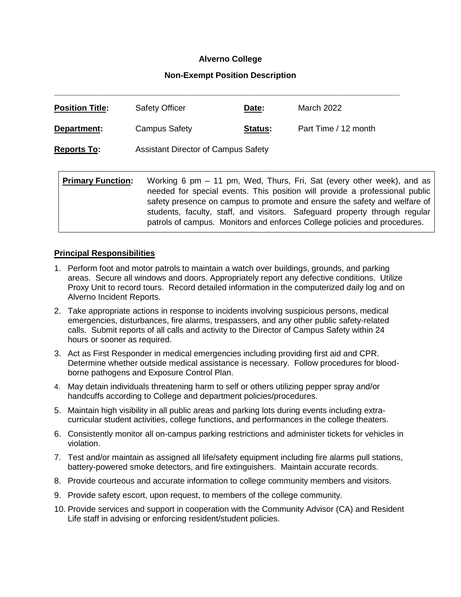### **Alverno College**

#### **Non-Exempt Position Description**

| <b>Position Title:</b>   | <b>Safety Officer</b>                                                                                                                                                                                                                                                                                                                                                                        | Date:          | March 2022           |
|--------------------------|----------------------------------------------------------------------------------------------------------------------------------------------------------------------------------------------------------------------------------------------------------------------------------------------------------------------------------------------------------------------------------------------|----------------|----------------------|
| Department:              | <b>Campus Safety</b>                                                                                                                                                                                                                                                                                                                                                                         | <u>Status:</u> | Part Time / 12 month |
| <b>Reports To:</b>       | <b>Assistant Director of Campus Safety</b>                                                                                                                                                                                                                                                                                                                                                   |                |                      |
| <b>Primary Function:</b> | Working 6 pm – 11 pm, Wed, Thurs, Fri, Sat (every other week), and as<br>needed for special events. This position will provide a professional public<br>safety presence on campus to promote and ensure the safety and welfare of<br>students, faculty, staff, and visitors. Safeguard property through regular<br>patrols of campus. Monitors and enforces College policies and procedures. |                |                      |

#### **Principal Responsibilities**

- 1. Perform foot and motor patrols to maintain a watch over buildings, grounds, and parking areas. Secure all windows and doors. Appropriately report any defective conditions. Utilize Proxy Unit to record tours. Record detailed information in the computerized daily log and on Alverno Incident Reports.
- 2. Take appropriate actions in response to incidents involving suspicious persons, medical emergencies, disturbances, fire alarms, trespassers, and any other public safety-related calls. Submit reports of all calls and activity to the Director of Campus Safety within 24 hours or sooner as required.
- 3. Act as First Responder in medical emergencies including providing first aid and CPR. Determine whether outside medical assistance is necessary. Follow procedures for bloodborne pathogens and Exposure Control Plan.
- 4. May detain individuals threatening harm to self or others utilizing pepper spray and/or handcuffs according to College and department policies/procedures.
- 5. Maintain high visibility in all public areas and parking lots during events including extracurricular student activities, college functions, and performances in the college theaters.
- 6. Consistently monitor all on-campus parking restrictions and administer tickets for vehicles in violation.
- 7. Test and/or maintain as assigned all life/safety equipment including fire alarms pull stations, battery-powered smoke detectors, and fire extinguishers. Maintain accurate records.
- 8. Provide courteous and accurate information to college community members and visitors.
- 9. Provide safety escort, upon request, to members of the college community.
- 10. Provide services and support in cooperation with the Community Advisor (CA) and Resident Life staff in advising or enforcing resident/student policies.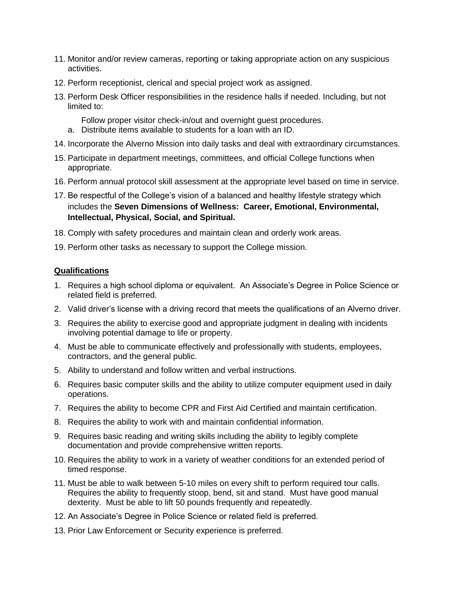- 11. Monitor and/or review cameras, reporting or taking appropriate action on any suspicious activities.
- 12. Perform receptionist, clerical and special project work as assigned.
- 13. Perform Desk Officer responsibilities in the residence halls if needed. Including, but not limited to:
	- Follow proper visitor check-in/out and overnight guest procedures.
	- a. Distribute items available to students for a loan with an ID.
- 14. Incorporate the Alverno Mission into daily tasks and deal with extraordinary circumstances.
- 15. Participate in department meetings, committees, and official College functions when appropriate.
- 16. Perform annual protocol skill assessment at the appropriate level based on time in service.
- 17. Be respectful of the College's vision of a balanced and healthy lifestyle strategy which includes the **Seven Dimensions of Wellness: Career, Emotional, Environmental, Intellectual, Physical, Social, and Spiritual.**
- 18. Comply with safety procedures and maintain clean and orderly work areas.
- 19. Perform other tasks as necessary to support the College mission.

### **Qualifications**

- 1. Requires a high school diploma or equivalent. An Associate's Degree in Police Science or related field is preferred.
- 2. Valid driver's license with a driving record that meets the qualifications of an Alverno driver.
- 3. Requires the ability to exercise good and appropriate judgment in dealing with incidents involving potential damage to life or property.
- 4. Must be able to communicate effectively and professionally with students, employees, contractors, and the general public.
- 5. Ability to understand and follow written and verbal instructions.
- 6. Requires basic computer skills and the ability to utilize computer equipment used in daily operations.
- 7. Requires the ability to become CPR and First Aid Certified and maintain certification.
- 8. Requires the ability to work with and maintain confidential information.
- 9. Requires basic reading and writing skills including the ability to legibly complete documentation and provide comprehensive written reports.
- 10. Requires the ability to work in a variety of weather conditions for an extended period of timed response.
- 11. Must be able to walk between 5-10 miles on every shift to perform required tour calls. Requires the ability to frequently stoop, bend, sit and stand. Must have good manual dexterity. Must be able to lift 50 pounds frequently and repeatedly.
- 12. An Associate's Degree in Police Science or related field is preferred.
- 13. Prior Law Enforcement or Security experience is preferred.